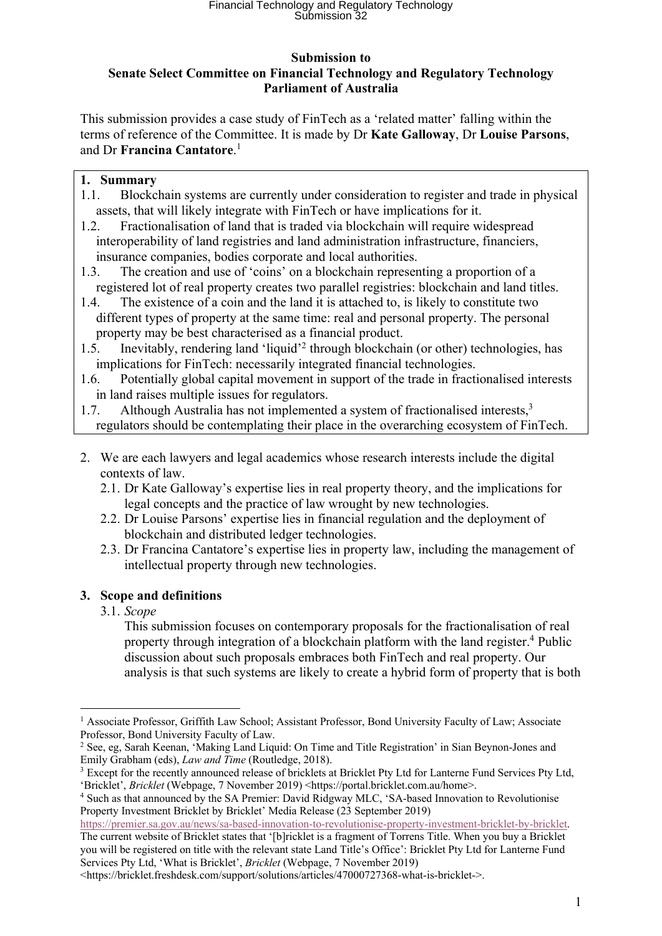# Financial Technology and Regulatory Technology Submission 32

#### **Submission to Senate Select Committee on Financial Technology and Regulatory Technology Parliament of Australia**

This submission provides a case study of FinTech as a 'related matter' falling within the terms of reference of the Committee. It is made by Dr **Kate Galloway**, Dr **Louise Parsons**, and Dr **Francina Cantatore**. 1

### **1. Summary**

- 1.1. Blockchain systems are currently under consideration to register and trade in physical assets, that will likely integrate with FinTech or have implications for it.
- 1.2. Fractionalisation of land that is traded via blockchain will require widespread interoperability of land registries and land administration infrastructure, financiers, insurance companies, bodies corporate and local authorities.
- 1.3. The creation and use of 'coins' on a blockchain representing a proportion of a registered lot of real property creates two parallel registries: blockchain and land titles.
- 1.4. The existence of a coin and the land it is attached to, is likely to constitute two different types of property at the same time: real and personal property. The personal property may be best characterised as a financial product.
- 1.5. Inevitably, rendering land 'liquid'2 through blockchain (or other) technologies, has implications for FinTech: necessarily integrated financial technologies.
- 1.6. Potentially global capital movement in support of the trade in fractionalised interests in land raises multiple issues for regulators.
- 1.7. Although Australia has not implemented a system of fractionalised interests,3 regulators should be contemplating their place in the overarching ecosystem of FinTech.
- 2. We are each lawyers and legal academics whose research interests include the digital contexts of law.
	- 2.1. Dr Kate Galloway's expertise lies in real property theory, and the implications for legal concepts and the practice of law wrought by new technologies.
	- 2.2. Dr Louise Parsons' expertise lies in financial regulation and the deployment of blockchain and distributed ledger technologies.
	- 2.3. Dr Francina Cantatore's expertise lies in property law, including the management of intellectual property through new technologies.

## **3. Scope and definitions**

3.1. *Scope*

This submission focuses on contemporary proposals for the fractionalisation of real property through integration of a blockchain platform with the land register.4 Public discussion about such proposals embraces both FinTech and real property. Our analysis is that such systems are likely to create a hybrid form of property that is both

https://premier.sa.gov.au/news/sa-based-innovation-to-revolutionise-property-investment-bricklet-by-bricklet. The current website of Bricklet states that '[b]ricklet is a fragment of Torrens Title. When you buy a Bricklet you will be registered on title with the relevant state Land Title's Office': Bricklet Pty Ltd for Lanterne Fund Services Pty Ltd, 'What is Bricklet', *Bricklet* (Webpage, 7 November 2019)

<sup>1</sup> Associate Professor, Griffith Law School; Assistant Professor, Bond University Faculty of Law; Associate Professor, Bond University Faculty of Law.

<sup>2</sup> See, eg, Sarah Keenan, 'Making Land Liquid: On Time and Title Registration' in Sian Beynon-Jones and Emily Grabham (eds), *Law and Time* (Routledge, 2018).

<sup>&</sup>lt;sup>3</sup> Except for the recently announced release of bricklets at Bricklet Pty Ltd for Lanterne Fund Services Pty Ltd, 'Bricklet', *Bricklet* (Webpage, 7 November 2019) <https://portal.bricklet.com.au/home>.

<sup>&</sup>lt;sup>4</sup> Such as that announced by the SA Premier: David Ridgway MLC, 'SA-based Innovation to Revolutionise Property Investment Bricklet by Bricklet' Media Release (23 September 2019)

<sup>&</sup>lt;https://bricklet.freshdesk.com/support/solutions/articles/47000727368-what-is-bricklet->.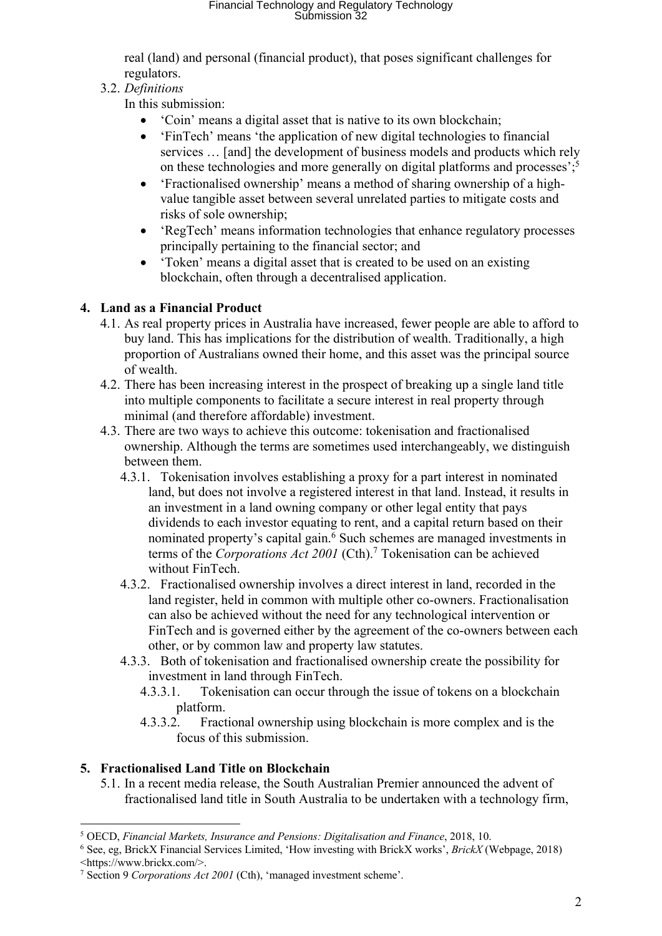real (land) and personal (financial product), that poses significant challenges for regulators.

## 3.2. *Definitions*

In this submission:

- 'Coin' means a digital asset that is native to its own blockchain;
- 'FinTech' means 'the application of new digital technologies to financial services … [and] the development of business models and products which rely on these technologies and more generally on digital platforms and processes'; 5
- 'Fractionalised ownership' means a method of sharing ownership of a highvalue tangible asset between several unrelated parties to mitigate costs and risks of sole ownership;
- 'RegTech' means information technologies that enhance regulatory processes principally pertaining to the financial sector; and
- 'Token' means a digital asset that is created to be used on an existing blockchain, often through a decentralised application.

# **4. Land as a Financial Product**

- 4.1. As real property prices in Australia have increased, fewer people are able to afford to buy land. This has implications for the distribution of wealth. Traditionally, a high proportion of Australians owned their home, and this asset was the principal source of wealth.
- 4.2. There has been increasing interest in the prospect of breaking up a single land title into multiple components to facilitate a secure interest in real property through minimal (and therefore affordable) investment.
- 4.3. There are two ways to achieve this outcome: tokenisation and fractionalised ownership. Although the terms are sometimes used interchangeably, we distinguish between them.
	- 4.3.1. Tokenisation involves establishing a proxy for a part interest in nominated land, but does not involve a registered interest in that land. Instead, it results in an investment in a land owning company or other legal entity that pays dividends to each investor equating to rent, and a capital return based on their nominated property's capital gain.<sup>6</sup> Such schemes are managed investments in terms of the *Corporations Act 2001* (Cth).<sup>7</sup> Tokenisation can be achieved without FinTech.
	- 4.3.2. Fractionalised ownership involves a direct interest in land, recorded in the land register, held in common with multiple other co-owners. Fractionalisation can also be achieved without the need for any technological intervention or FinTech and is governed either by the agreement of the co-owners between each other, or by common law and property law statutes.
	- 4.3.3. Both of tokenisation and fractionalised ownership create the possibility for investment in land through FinTech.
		- 4.3.3.1. Tokenisation can occur through the issue of tokens on a blockchain platform.
		- 4.3.3.2. Fractional ownership using blockchain is more complex and is the focus of this submission.

# **5. Fractionalised Land Title on Blockchain**

5.1. In a recent media release, the South Australian Premier announced the advent of fractionalised land title in South Australia to be undertaken with a technology firm,

<sup>5</sup> OECD, *Financial Markets, Insurance and Pensions: Digitalisation and Finance*, 2018, 10.

<sup>6</sup> See, eg, BrickX Financial Services Limited, 'How investing with BrickX works', *BrickX* (Webpage, 2018) <https://www.brickx.com/>.

<sup>7</sup> Section 9 *Corporations Act 2001* (Cth), 'managed investment scheme'.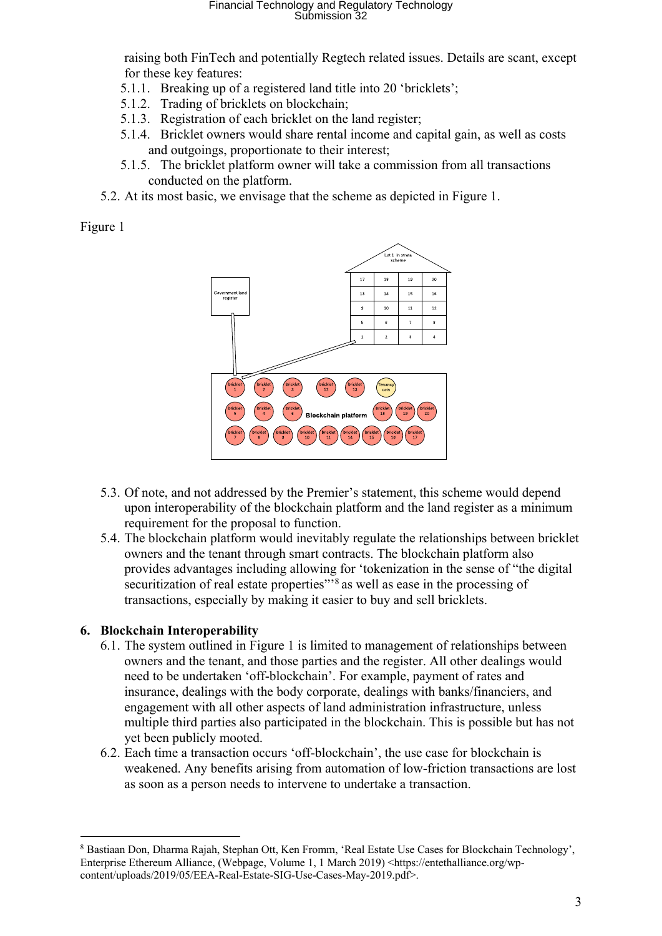# Financial Technology and Regulatory Technology Submission 32

raising both FinTech and potentially Regtech related issues. Details are scant, except for these key features:

- 5.1.1. Breaking up of a registered land title into 20 'bricklets';
- 5.1.2. Trading of bricklets on blockchain;
- 5.1.3. Registration of each bricklet on the land register;
- 5.1.4. Bricklet owners would share rental income and capital gain, as well as costs and outgoings, proportionate to their interest;
- 5.1.5. The bricklet platform owner will take a commission from all transactions conducted on the platform.
- 5.2. At its most basic, we envisage that the scheme as depicted in Figure 1.

Figure 1



- 5.3. Of note, and not addressed by the Premier's statement, this scheme would depend upon interoperability of the blockchain platform and the land register as a minimum requirement for the proposal to function.
- 5.4. The blockchain platform would inevitably regulate the relationships between bricklet owners and the tenant through smart contracts. The blockchain platform also provides advantages including allowing for 'tokenization in the sense of "the digital securitization of real estate properties"<sup>8</sup> as well as ease in the processing of transactions, especially by making it easier to buy and sell bricklets.

### **6. Blockchain Interoperability**

- 6.1. The system outlined in Figure 1 is limited to management of relationships between owners and the tenant, and those parties and the register. All other dealings would need to be undertaken 'off-blockchain'. For example, payment of rates and insurance, dealings with the body corporate, dealings with banks/financiers, and engagement with all other aspects of land administration infrastructure, unless multiple third parties also participated in the blockchain. This is possible but has not yet been publicly mooted.
- 6.2. Each time a transaction occurs 'off-blockchain', the use case for blockchain is weakened. Any benefits arising from automation of low-friction transactions are lost as soon as a person needs to intervene to undertake a transaction.

<sup>8</sup> Bastiaan Don, Dharma Rajah, Stephan Ott, Ken Fromm, 'Real Estate Use Cases for Blockchain Technology', Enterprise Ethereum Alliance, (Webpage, Volume 1, 1 March 2019) <https://entethalliance.org/wpcontent/uploads/2019/05/EEA-Real-Estate-SIG-Use-Cases-May-2019.pdf>.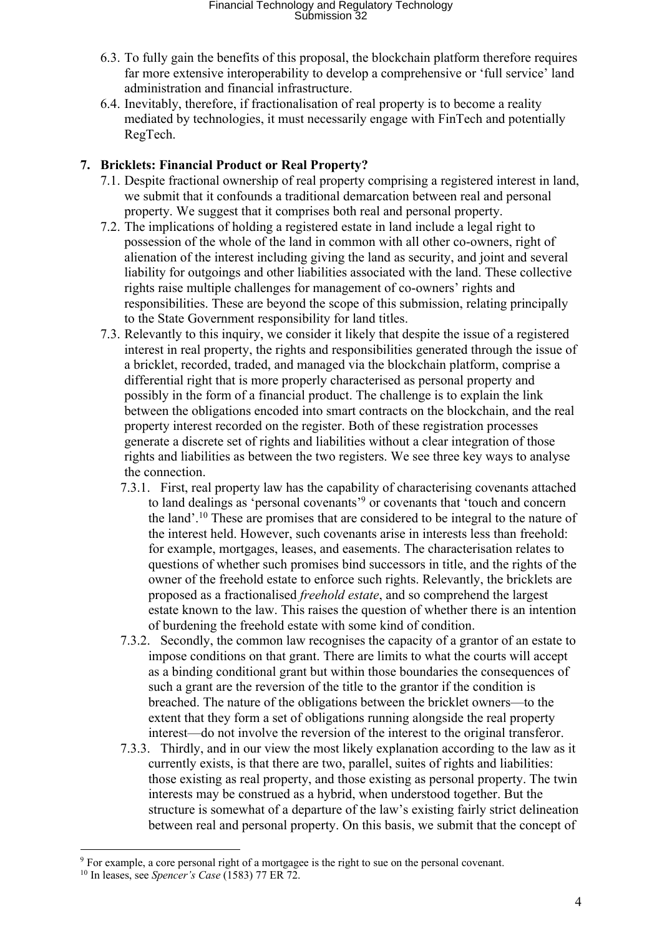- 6.3. To fully gain the benefits of this proposal, the blockchain platform therefore requires far more extensive interoperability to develop a comprehensive or 'full service' land administration and financial infrastructure.
- 6.4. Inevitably, therefore, if fractionalisation of real property is to become a reality mediated by technologies, it must necessarily engage with FinTech and potentially RegTech.

## **7. Bricklets: Financial Product or Real Property?**

- 7.1. Despite fractional ownership of real property comprising a registered interest in land, we submit that it confounds a traditional demarcation between real and personal property. We suggest that it comprises both real and personal property.
- 7.2. The implications of holding a registered estate in land include a legal right to possession of the whole of the land in common with all other co-owners, right of alienation of the interest including giving the land as security, and joint and several liability for outgoings and other liabilities associated with the land. These collective rights raise multiple challenges for management of co-owners' rights and responsibilities. These are beyond the scope of this submission, relating principally to the State Government responsibility for land titles.
- 7.3. Relevantly to this inquiry, we consider it likely that despite the issue of a registered interest in real property, the rights and responsibilities generated through the issue of a bricklet, recorded, traded, and managed via the blockchain platform, comprise a differential right that is more properly characterised as personal property and possibly in the form of a financial product. The challenge is to explain the link between the obligations encoded into smart contracts on the blockchain, and the real property interest recorded on the register. Both of these registration processes generate a discrete set of rights and liabilities without a clear integration of those rights and liabilities as between the two registers. We see three key ways to analyse the connection.
	- 7.3.1. First, real property law has the capability of characterising covenants attached to land dealings as 'personal covenants'9 or covenants that 'touch and concern the land'.10 These are promises that are considered to be integral to the nature of the interest held. However, such covenants arise in interests less than freehold: for example, mortgages, leases, and easements. The characterisation relates to questions of whether such promises bind successors in title, and the rights of the owner of the freehold estate to enforce such rights. Relevantly, the bricklets are proposed as a fractionalised *freehold estate*, and so comprehend the largest estate known to the law. This raises the question of whether there is an intention of burdening the freehold estate with some kind of condition.
	- 7.3.2. Secondly, the common law recognises the capacity of a grantor of an estate to impose conditions on that grant. There are limits to what the courts will accept as a binding conditional grant but within those boundaries the consequences of such a grant are the reversion of the title to the grantor if the condition is breached. The nature of the obligations between the bricklet owners—to the extent that they form a set of obligations running alongside the real property interest—do not involve the reversion of the interest to the original transferor.
	- 7.3.3. Thirdly, and in our view the most likely explanation according to the law as it currently exists, is that there are two, parallel, suites of rights and liabilities: those existing as real property, and those existing as personal property. The twin interests may be construed as a hybrid, when understood together. But the structure is somewhat of a departure of the law's existing fairly strict delineation between real and personal property. On this basis, we submit that the concept of

<sup>&</sup>lt;sup>9</sup> For example, a core personal right of a mortgagee is the right to sue on the personal covenant.

<sup>10</sup> In leases, see *Spencer's Case* (1583) 77 ER 72.